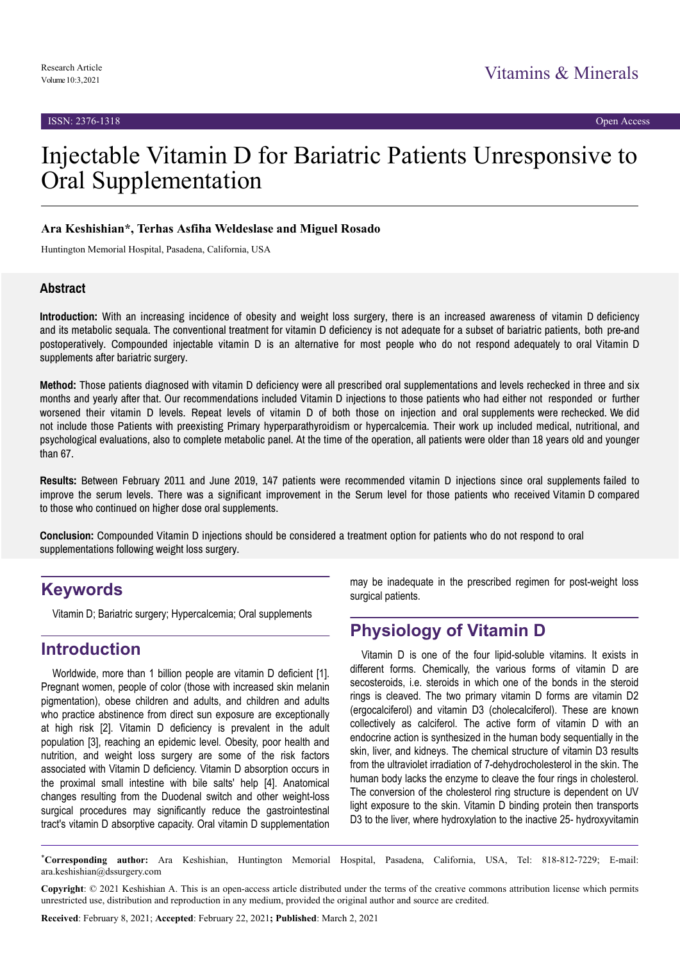# Injectable Vitamin D for Bariatric Patients Unresponsive to Oral Supplementation

#### **Ara Keshishian\*, Terhas Asfiha Weldeslase and Miguel Rosado**

Huntington Memorial Hospital, Pasadena, California, USA

#### **Abstract**

**Introduction:** With an increasing incidence of obesity and weight loss surgery, there is an increased awareness of vitamin D deficiency and its metabolic sequala. The conventional treatment for vitamin D deficiency is not adequate for a subset of bariatric patients, both pre-and postoperatively. Compounded injectable vitamin D is an alternative for most people who do not respond adequately to oral Vitamin D supplements after bariatric surgery.

**Method:** Those patients diagnosed with vitamin D deficiency were all prescribed oral supplementations and levels rechecked in three and six months and yearly after that. Our recommendations included Vitamin D injections to those patients who had either not responded or further worsened their vitamin D levels. Repeat levels of vitamin D of both those on injection and oral supplements were rechecked. We did not include those Patients with preexisting Primary hyperparathyroidism or hypercalcemia. Their work up included medical, nutritional, and psychological evaluations, also to complete metabolic panel. At the time of the operation, all patients were older than 18 years old and younger than 67.

**Results:** Between February 2011 and June 2019, 147 patients were recommended vitamin D injections since oral supplements failed to improve the serum levels. There was a significant improvement in the Serum level for those patients who received Vitamin D compared to those who continued on higher dose oral supplements.

**Conclusion:** Compounded Vitamin D injections should be considered a treatment option for patients who do not respond to oral supplementations following weight loss surgery.

# **Keywords**

Vitamin D; Bariatric surgery; Hypercalcemia; Oral supplements

# **Introduction**

Worldwide, more than 1 billion people are vitamin D deficient [1]. Pregnant women, people of color (those with increased skin melanin pigmentation), obese children and adults, and children and adults who practice abstinence from direct sun exposure are exceptionally at high risk [2]. Vitamin D deficiency is prevalent in the adult population [3], reaching an epidemic level. Obesity, poor health and nutrition, and weight loss surgery are some of the risk factors associated with Vitamin D deficiency. Vitamin D absorption occurs in the proximal small intestine with bile salts' help [4]. Anatomical changes resulting from the Duodenal switch and other weight-loss surgical procedures may significantly reduce the gastrointestinal tract's vitamin D absorptive capacity. Oral vitamin D supplementation

may be inadequate in the prescribed regimen for post-weight loss surgical patients.

# **Physiology of Vitamin D**

Vitamin D is one of the four lipid-soluble vitamins. It exists in different forms. Chemically, the various forms of vitamin D are secosteroids, i.e. steroids in which one of the bonds in the steroid rings is cleaved. The two primary vitamin D forms are vitamin D2 (ergocalciferol) and vitamin D3 (cholecalciferol). These are known collectively as calciferol. The active form of vitamin D with an endocrine action is synthesized in the human body sequentially in the skin, liver, and kidneys. The chemical structure of vitamin D3 results from the ultraviolet irradiation of 7-dehydrocholesterol in the skin. The human body lacks the enzyme to cleave the four rings in cholesterol. The conversion of the cholesterol ring structure is dependent on UV light exposure to the skin. Vitamin D binding protein then transports D3 to the liver, where hydroxylation to the inactive 25- hydroxyvitamin

\***Corresponding author:** Ara Keshishian, Huntington Memorial Hospital, Pasadena, California, USA, Tel: 818-812-7229; E-mail: ara.keshishian@dssurgery.com

**Copyright**: © 2021 Keshishian A. This is an open-access article distributed under the terms of the creative commons attribution license which permits unrestricted use, distribution and reproduction in any medium, provided the original author and source are credited.

**Received**: February 8, 2021; **Accepted**: February 22, 2021**; Published**: March 2, 2021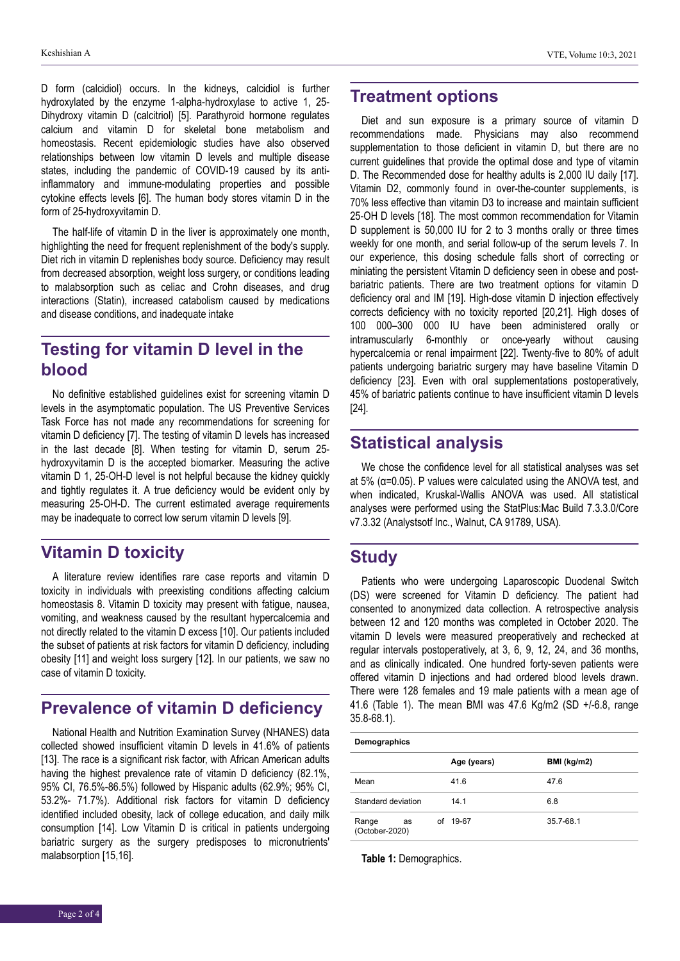D form (calcidiol) occurs. In the kidneys, calcidiol is further hydroxylated by the enzyme 1-alpha-hydroxylase to active 1, 25- Dihydroxy vitamin D (calcitriol) [5]. Parathyroid hormone regulates calcium and vitamin D for skeletal bone metabolism and homeostasis. Recent epidemiologic studies have also observed relationships between low vitamin D levels and multiple disease states, including the pandemic of COVID-19 caused by its antiinflammatory and immune-modulating properties and possible cytokine effects levels [6]. The human body stores vitamin D in the form of 25-hydroxyvitamin D.

The half-life of vitamin D in the liver is approximately one month, highlighting the need for frequent replenishment of the body's supply. Diet rich in vitamin D replenishes body source. Deficiency may result from decreased absorption, weight loss surgery, or conditions leading to malabsorption such as celiac and Crohn diseases, and drug interactions (Statin), increased catabolism caused by medications and disease conditions, and inadequate intake

# **Testing for vitamin D level in the blood**

No definitive established guidelines exist for screening vitamin D levels in the asymptomatic population. The US Preventive Services Task Force has not made any recommendations for screening for vitamin D deficiency [7]. The testing of vitamin D levels has increased in the last decade [8]. When testing for vitamin D, serum 25 hydroxyvitamin D is the accepted biomarker. Measuring the active vitamin D 1, 25-OH-D level is not helpful because the kidney quickly and tightly regulates it. A true deficiency would be evident only by measuring 25-OH-D. The current estimated average requirements may be inadequate to correct low serum vitamin D levels [9].

# **Vitamin D toxicity**

A literature review identifies rare case reports and vitamin D toxicity in individuals with preexisting conditions affecting calcium homeostasis 8. Vitamin D toxicity may present with fatigue, nausea, vomiting, and weakness caused by the resultant hypercalcemia and not directly related to the vitamin D excess [10]. Our patients included the subset of patients at risk factors for vitamin D deficiency, including obesity [11] and weight loss surgery [12]. In our patients, we saw no case of vitamin D toxicity.

# **Prevalence of vitamin D deficiency**

National Health and Nutrition Examination Survey (NHANES) data collected showed insufficient vitamin D levels in 41.6% of patients [13]. The race is a significant risk factor, with African American adults having the highest prevalence rate of vitamin D deficiency (82.1%, 95% CI, 76.5%-86.5%) followed by Hispanic adults (62.9%; 95% CI, 53.2%- 71.7%). Additional risk factors for vitamin D deficiency identified included obesity, lack of college education, and daily milk consumption [14]. Low Vitamin D is critical in patients undergoing bariatric surgery as the surgery predisposes to micronutrients' malabsorption [15,16].

# **Treatment options**

Diet and sun exposure is a primary source of vitamin D recommendations made. Physicians may also recommend supplementation to those deficient in vitamin D, but there are no current guidelines that provide the optimal dose and type of vitamin D. The Recommended dose for healthy adults is 2,000 IU daily [17]. Vitamin D2, commonly found in over-the-counter supplements, is 70% less effective than vitamin D3 to increase and maintain sufficient 25-OH D levels [18]. The most common recommendation for Vitamin D supplement is 50,000 IU for 2 to 3 months orally or three times weekly for one month, and serial follow-up of the serum levels 7. In our experience, this dosing schedule falls short of correcting or miniating the persistent Vitamin D deficiency seen in obese and postbariatric patients. There are two treatment options for vitamin D deficiency oral and IM [19]. High-dose vitamin D injection effectively corrects deficiency with no toxicity reported [20,21]. High doses of 100 000–300 000 IU have been administered orally or intramuscularly 6-monthly or once-yearly without causing hypercalcemia or renal impairment [22]. Twenty-five to 80% of adult patients undergoing bariatric surgery may have baseline Vitamin D deficiency [23]. Even with oral supplementations postoperatively, 45% of bariatric patients continue to have insufficient vitamin D levels [24].

# **Statistical analysis**

We chose the confidence level for all statistical analyses was set at 5% (α=0.05). P values were calculated using the ANOVA test, and when indicated, Kruskal-Wallis ANOVA was used. All statistical analyses were performed using the StatPlus:Mac Build 7.3.3.0/Core v7.3.32 (Analystsotf Inc., Walnut, CA 91789, USA).

# **Study**

Patients who were undergoing Laparoscopic Duodenal Switch (DS) were screened for Vitamin D deficiency. The patient had consented to anonymized data collection. A retrospective analysis between 12 and 120 months was completed in October 2020. The vitamin D levels were measured preoperatively and rechecked at regular intervals postoperatively, at 3, 6, 9, 12, 24, and 36 months, and as clinically indicated. One hundred forty-seven patients were offered vitamin D injections and had ordered blood levels drawn. There were 128 females and 19 male patients with a mean age of 41.6 (Table 1). The mean BMI was 47.6 Kg/m2 (SD +/-6.8, range 35.8-68.1).

**Demographics**

|                               | Age (years) | BMI (kg/m2) |
|-------------------------------|-------------|-------------|
| Mean                          | 41.6        | 47.6        |
| Standard deviation            | 14.1        | 6.8         |
| Range<br>as<br>(October-2020) | of 19-67    | 35.7-68.1   |

**Table 1:** Demographics.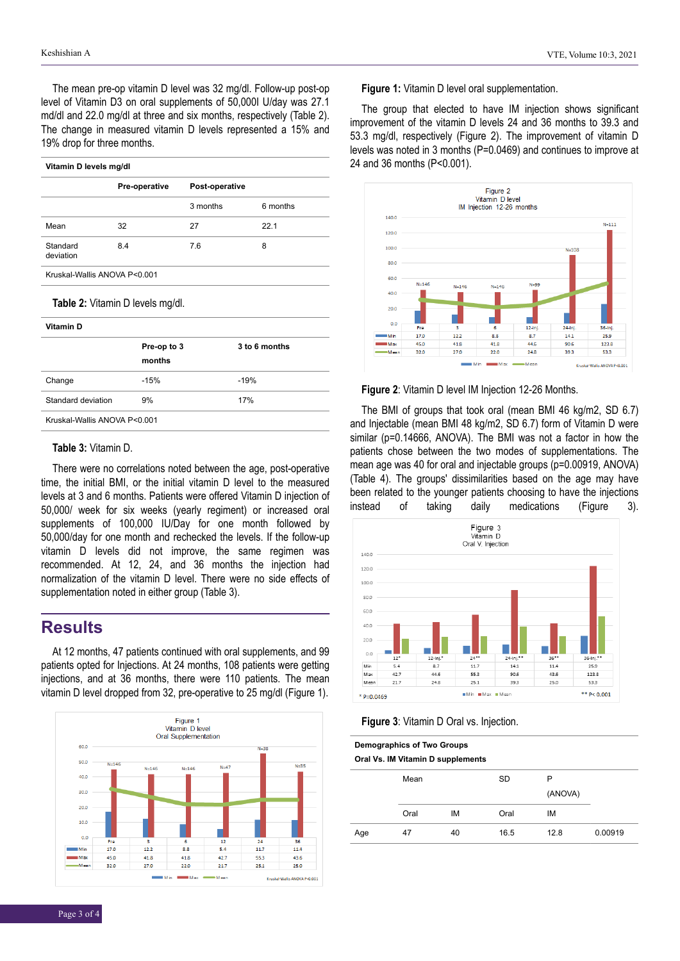The mean pre-op vitamin D level was 32 mg/dl. Follow-up post-op level of Vitamin D3 on oral supplements of 50,000I U/day was 27.1 md/dl and 22.0 mg/dl at three and six months, respectively (Table 2). The change in measured vitamin D levels represented a 15% and 19% drop for three months.

| Vitamin D levels mg/dl           |                              |                |          |  |  |  |
|----------------------------------|------------------------------|----------------|----------|--|--|--|
|                                  | Pre-operative                | Post-operative |          |  |  |  |
|                                  |                              | 3 months       | 6 months |  |  |  |
| Mean                             | 32                           | 27             | 22.1     |  |  |  |
| Standard<br>deviation            | 8.4                          | 7.6            | 8        |  |  |  |
|                                  | Kruskal-Wallis ANOVA P<0.001 |                |          |  |  |  |
| Table 2: Vitamin D levels mg/dl. |                              |                |          |  |  |  |
| Vitamin D                        |                              |                |          |  |  |  |

|                              | Pre-op to 3<br>months | 3 to 6 months |  |  |
|------------------------------|-----------------------|---------------|--|--|
| Change                       | $-15%$                | $-19%$        |  |  |
| Standard deviation           | 9%                    | <b>17%</b>    |  |  |
| Kruskal-Wallis ANOVA P<0.001 |                       |               |  |  |

#### **Table 3:** Vitamin D.

There were no correlations noted between the age, post-operative time, the initial BMI, or the initial vitamin D level to the measured levels at 3 and 6 months. Patients were offered Vitamin D injection of 50,000/ week for six weeks (yearly regiment) or increased oral supplements of 100,000 IU/Day for one month followed by 50,000/day for one month and rechecked the levels. If the follow-up vitamin D levels did not improve, the same regimen was recommended. At 12, 24, and 36 months the injection had normalization of the vitamin D level. There were no side effects of supplementation noted in either group (Table 3).

#### **Results**

At 12 months, 47 patients continued with oral supplements, and 99 patients opted for Injections. At 24 months, 108 patients were getting injections, and at 36 months, there were 110 patients. The mean vitamin D level dropped from 32, pre-operative to 25 mg/dl (Figure 1).



#### **Figure 1:** Vitamin D level oral supplementation.

The group that elected to have IM injection shows significant improvement of the vitamin D levels 24 and 36 months to 39.3 and 53.3 mg/dl, respectively (Figure 2). The improvement of vitamin D levels was noted in 3 months (P=0.0469) and continues to improve at 24 and 36 months (P<0.001).



**Figure 2**: Vitamin D level IM Injection 12-26 Months.

The BMI of groups that took oral (mean BMI 46 kg/m2, SD 6.7) and Injectable (mean BMI 48 kg/m2, SD 6.7) form of Vitamin D were similar (p=0.14666, ANOVA). The BMI was not a factor in how the patients chose between the two modes of supplementations. The mean age was 40 for oral and injectable groups (p=0.00919, ANOVA) (Table 4). The groups' dissimilarities based on the age may have been related to the younger patients choosing to have the injections instead of taking daily medications (Figure 3).



| <b>Demographics of Two Groups</b><br>Oral Vs. IM Vitamin D supplements |      |    |      |         |         |  |  |  |
|------------------------------------------------------------------------|------|----|------|---------|---------|--|--|--|
|                                                                        | Mean |    | SD   | P       |         |  |  |  |
|                                                                        |      |    |      | (ANOVA) |         |  |  |  |
|                                                                        | Oral | IM | Oral | ıм      |         |  |  |  |
| Age                                                                    | 47   | 40 | 16.5 | 12.8    | 0.00919 |  |  |  |